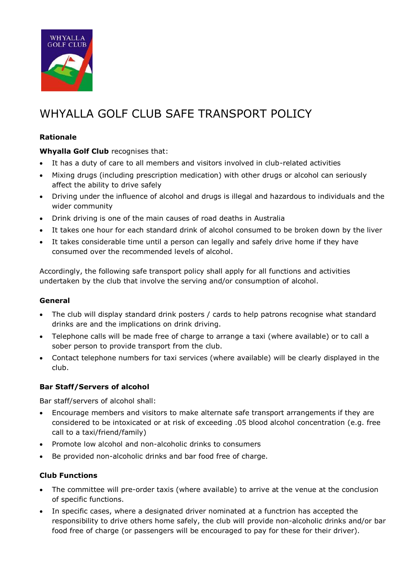

# WHYALLA GOLF CLUB SAFE TRANSPORT POLICY

## **Rationale**

**Whyalla Golf Club** recognises that:

- It has a duty of care to all members and visitors involved in club-related activities
- Mixing drugs (including prescription medication) with other drugs or alcohol can seriously affect the ability to drive safely
- Driving under the influence of alcohol and drugs is illegal and hazardous to individuals and the wider community
- Drink driving is one of the main causes of road deaths in Australia
- It takes one hour for each standard drink of alcohol consumed to be broken down by the liver
- It takes considerable time until a person can legally and safely drive home if they have consumed over the recommended levels of alcohol.

Accordingly, the following safe transport policy shall apply for all functions and activities undertaken by the club that involve the serving and/or consumption of alcohol.

### **General**

- The club will display standard drink posters / cards to help patrons recognise what standard drinks are and the implications on drink driving.
- Telephone calls will be made free of charge to arrange a taxi (where available) or to call a sober person to provide transport from the club.
- Contact telephone numbers for taxi services (where available) will be clearly displayed in the club.

### **Bar Staff/Servers of alcohol**

Bar staff/servers of alcohol shall:

- Encourage members and visitors to make alternate safe transport arrangements if they are considered to be intoxicated or at risk of exceeding .05 blood alcohol concentration (e.g. free call to a taxi/friend/family)
- Promote low alcohol and non-alcoholic drinks to consumers
- Be provided non-alcoholic drinks and bar food free of charge.

## **Club Functions**

- The committee will pre-order taxis (where available) to arrive at the venue at the conclusion of specific functions.
- In specific cases, where a designated driver nominated at a functrion has accepted the responsibility to drive others home safely, the club will provide non-alcoholic drinks and/or bar food free of charge (or passengers will be encouraged to pay for these for their driver).